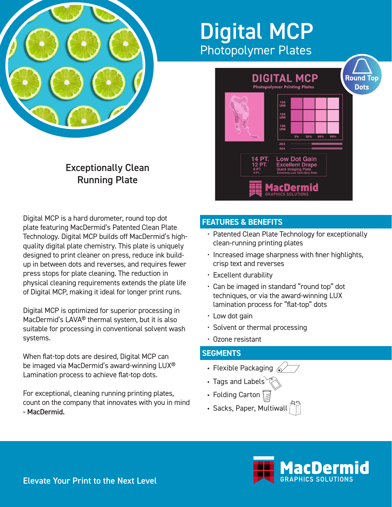

# Digital MCP Photopolymer Plates



# Exceptionally Clean Running Plate

Digital MCP is a hard durometer, round top dot plate featuring MacDermid's Patented Clean Plate Technology. Digital MCP builds off MacDermid's highquality digital plate chemistry. This plate is uniquely designed to print cleaner on press, reduce ink buildup in between dots and reverses, and requires fewer press stops for plate cleaning. The reduction in physical cleaning requirements extends the plate life of Digital MCP, making it ideal for longer print runs.

Digital MCP is optimized for superior processing in MacDermid's LAVA® thermal system, but it is also suitable for processing in conventional solvent wash systems.

When flat-top dots are desired, Digital MCP can be imaged via MacDermid's award-winning LUX® Lamination process to achieve flat-top dots.

For exceptional, cleaning running printing plates, count on the company that innovates with you in mind - MacDermid.

# **FEATURES & BENEFITS**

- Patented Clean Plate Technology for exceptionally clean-running printing plates
- Increased image sharpness with finer highlights, crisp text and reverses
- Excellent durability
- Can be imaged in standard "round top" dot techniques, or via the award-winning LUX lamination process for "flat-top" dots
- Low dot gain
- Solvent or thermal processing
- Ozone resistant

# **SEGMENTS**

- Flexible Packaging  $\widehat{\ll}$
- Tags and Labels
- Folding Carton  $\sqrt{\equiv}$
- Sacks, Paper, Multiwall